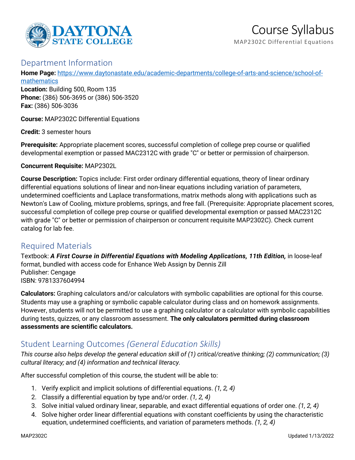

MAP2302C Differential Equations

## Department Information

**Home Page:** [https://www.daytonastate.edu/academic-departments/college-of-arts-and-science/school-of](https://www.daytonastate.edu/academic-departments/college-of-arts-and-science/school-of-mathematics)**[mathematics](https://www.daytonastate.edu/academic-departments/college-of-arts-and-science/school-of-mathematics)** 

**Location:** Building 500, Room 135 **Phone:** (386) 506-3695 or (386) 506-3520 **Fax:** (386) 506-3036

**Course:** MAP2302C Differential Equations

**Credit:** 3 semester hours

**Prerequisite:** Appropriate placement scores, successful completion of college prep course or qualified developmental exemption or passed MAC2312C with grade "C" or better or permission of chairperson.

**Concurrent Requisite:** MAP2302L

**Course Description:** Topics include: First order ordinary differential equations, theory of linear ordinary differential equations solutions of linear and non-linear equations including variation of parameters, undetermined coefficients and Laplace transformations, matrix methods along with applications such as Newton's Law of Cooling, mixture problems, springs, and free fall. (Prerequisite: Appropriate placement scores, successful completion of college prep course or qualified developmental exemption or passed MAC2312C with grade "C" or better or permission of chairperson or concurrent requisite MAP2302C). Check current catalog for lab fee.

## Required Materials

Textbook: *A First Course in Differential Equations with Modeling Applications, 11th Edition,* in loose-leaf format, bundled with access code for Enhance Web Assign by Dennis Zill Publisher: Cengage ISBN: 9781337604994

**Calculators:** Graphing calculators and/or calculators with symbolic capabilities are optional for this course. Students may use a graphing or symbolic capable calculator during class and on homework assignments. However, students will not be permitted to use a graphing calculator or a calculator with symbolic capabilities during tests, quizzes, or any classroom assessment. **The only calculators permitted during classroom assessments are scientific calculators.**

# Student Learning Outcomes *(General Education Skills)*

*This course also helps develop the general education skill of (1) critical/creative thinking; (2) communication; (3) cultural literacy; and (4) information and technical literacy.*

After successful completion of this course, the student will be able to:

- 1. Verify explicit and implicit solutions of differential equations. *(1, 2, 4)*
- 2. Classify a differential equation by type and/or order. *(1, 2, 4)*
- 3. Solve initial valued ordinary linear, separable, and exact differential equations of order one. *(1, 2, 4)*
- 4. Solve higher order linear differential equations with constant coefficients by using the characteristic equation, undetermined coefficients, and variation of parameters methods. *(1, 2, 4)*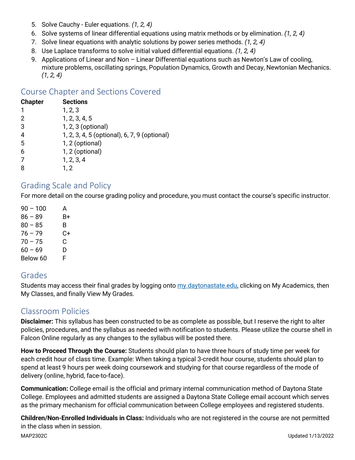- 5. Solve Cauchy Euler equations. *(1, 2, 4)*
- 6. Solve systems of linear differential equations using matrix methods or by elimination. *(1, 2, 4)*
- 7. Solve linear equations with analytic solutions by power series methods. *(1, 2, 4)*
- 8. Use Laplace transforms to solve initial valued differential equations. *(1, 2, 4)*
- 9. Applications of Linear and Non Linear Differential equations such as Newton's Law of cooling, mixture problems, oscillating springs, Population Dynamics, Growth and Decay, Newtonian Mechanics. *(1, 2, 4)*

## Course Chapter and Sections Covered

| <b>Chapter</b> | <b>Sections</b>                              |
|----------------|----------------------------------------------|
| 1              | 1, 2, 3                                      |
| 2              | 1, 2, 3, 4, 5                                |
| 3              | 1, 2, 3 (optional)                           |
| 4              | 1, 2, 3, 4, 5 (optional), 6, 7, 9 (optional) |
| 5              | 1, 2 (optional)                              |
| 6              | 1, 2 (optional)                              |
| 7              | 1, 2, 3, 4                                   |
| 8              | 1, 2                                         |
|                |                                              |

#### Grading Scale and Policy

For more detail on the course grading policy and procedure, you must contact the course's specific instructor.

 $90 - 100$  A  $86 - 89$  B+  $80 - 85$  B  $76 - 79$  C+  $70 - 75$  C  $60 - 69$  D Below 60 F

# Grades

Students may access their final grades by logging onto [my.daytonastate.edu,](https://my.daytonastate.edu/) clicking on My Academics, then My Classes, and finally View My Grades.

# Classroom Policies

**Disclaimer:** This syllabus has been constructed to be as complete as possible, but I reserve the right to alter policies, procedures, and the syllabus as needed with notification to students. Please utilize the course shell in Falcon Online regularly as any changes to the syllabus will be posted there.

**How to Proceed Through the Course:** Students should plan to have three hours of study time per week for each credit hour of class time. Example: When taking a typical 3-credit hour course, students should plan to spend at least 9 hours per week doing coursework and studying for that course regardless of the mode of delivery (online, hybrid, face-to-face).

**Communication:** College email is the official and primary internal communication method of Daytona State College. Employees and admitted students are assigned a Daytona State College email account which serves as the primary mechanism for official communication between College employees and registered students.

MAP2302C Updated 1/13/2022 **Children/Non-Enrolled Individuals in Class:** Individuals who are not registered in the course are not permitted in the class when in session.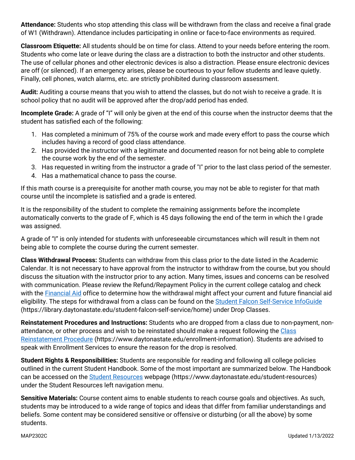**Attendance:** Students who stop attending this class will be withdrawn from the class and receive a final grade of W1 (Withdrawn). Attendance includes participating in online or face-to-face environments as required.

**Classroom Etiquette:** All students should be on time for class. Attend to your needs before entering the room. Students who come late or leave during the class are a distraction to both the instructor and other students. The use of cellular phones and other electronic devices is also a distraction. Please ensure electronic devices are off (or silenced). If an emergency arises, please be courteous to your fellow students and leave quietly. Finally, cell phones, watch alarms, etc. are strictly prohibited during classroom assessment.

**Audit:** Auditing a course means that you wish to attend the classes, but do not wish to receive a grade. It is school policy that no audit will be approved after the drop/add period has ended.

**Incomplete Grade:** A grade of "I" will only be given at the end of this course when the instructor deems that the student has satisfied each of the following:

- 1. Has completed a minimum of 75% of the course work and made every effort to pass the course which includes having a record of good class attendance.
- 2. Has provided the instructor with a legitimate and documented reason for not being able to complete the course work by the end of the semester.
- 3. Has requested in writing from the instructor a grade of "I" prior to the last class period of the semester.
- 4. Has a mathematical chance to pass the course.

If this math course is a prerequisite for another math course, you may not be able to register for that math course until the incomplete is satisfied and a grade is entered.

It is the responsibility of the student to complete the remaining assignments before the incomplete automatically converts to the grade of F, which is 45 days following the end of the term in which the I grade was assigned.

A grade of "I" is only intended for students with unforeseeable circumstances which will result in them not being able to complete the course during the current semester.

**Class Withdrawal Process:** Students can withdraw from this class prior to the date listed in the Academic Calendar. It is not necessary to have approval from the instructor to withdraw from the course, but you should discuss the situation with the instructor prior to any action. Many times, issues and concerns can be resolved with communication. Please review the Refund/Repayment Policy in the current college catalog and check with the **Financial Aid** office to determine how the withdrawal might affect your current and future financial aid eligibility. The steps for withdrawal from a class can be found on the [Student Falcon Self-Service InfoGuide](https://library.daytonastate.edu/student-falcon-self-service/home) (https://library.daytonastate.edu/student-falcon-self-service/home) under Drop Classes.

**Reinstatement Procedures and Instructions:** Students who are dropped from a class due to non-payment, nonattendance, or other process and wish to be reinstated should make a request following the [Class](https://www.daytonastate.edu/enrollment-information/index.html)  [Reinstatement Procedure](https://www.daytonastate.edu/enrollment-information/index.html) (https://www.daytonastate.edu/enrollment-information). Students are advised to speak with Enrollment Services to ensure the reason for the drop is resolved.

**Student Rights & Responsibilities:** Students are responsible for reading and following all college policies outlined in the current Student Handbook. Some of the most important are summarized below. The Handbook can be accessed on the [Student Resources](https://www.daytonastate.edu/student-resources) webpage (https://www.daytonastate.edu/student-resources) under the Student Resources left navigation menu.

**Sensitive Materials:** Course content aims to enable students to reach course goals and objectives. As such, students may be introduced to a wide range of topics and ideas that differ from familiar understandings and beliefs. Some content may be considered sensitive or offensive or disturbing (or all the above) by some students.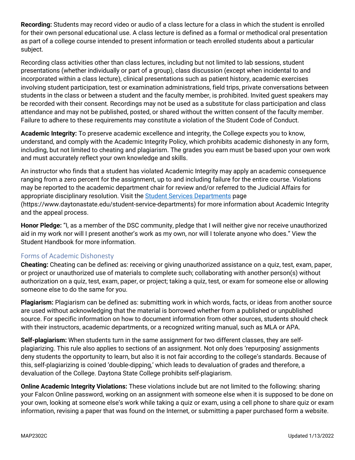**Recording:** Students may record video or audio of a class lecture for a class in which the student is enrolled for their own personal educational use. A class lecture is defined as a formal or methodical oral presentation as part of a college course intended to present information or teach enrolled students about a particular subject.

Recording class activities other than class lectures, including but not limited to lab sessions, student presentations (whether individually or part of a group), class discussion (except when incidental to and incorporated within a class lecture), clinical presentations such as patient history, academic exercises involving student participation, test or examination administrations, field trips, private conversations between students in the class or between a student and the faculty member, is prohibited. Invited guest speakers may be recorded with their consent. Recordings may not be used as a substitute for class participation and class attendance and may not be published, posted, or shared without the written consent of the faculty member. Failure to adhere to these requirements may constitute a violation of the Student Code of Conduct.

**Academic Integrity:** To preserve academic excellence and integrity, the College expects you to know, understand, and comply with the Academic Integrity Policy, which prohibits academic dishonesty in any form, including, but not limited to cheating and plagiarism. The grades you earn must be based upon your own work and must accurately reflect your own knowledge and skills.

An instructor who finds that a student has violated Academic Integrity may apply an academic consequence ranging from a zero percent for the assignment, up to and including failure for the entire course. Violations may be reported to the academic department chair for review and/or referred to the Judicial Affairs for appropriate disciplinary resolution. Visit the [Student Services Departments](https://www.daytonastate.edu/student-service-departments) page (https://www.daytonastate.edu/student-service-departments) for more information about Academic Integrity and the appeal process.

**Honor Pledge:** "I, as a member of the DSC community, pledge that I will neither give nor receive unauthorized aid in my work nor will I present another's work as my own, nor will I tolerate anyone who does." View the Student Handbook for more information.

#### Forms of Academic Dishonesty

**Cheating:** Cheating can be defined as: receiving or giving unauthorized assistance on a quiz, test, exam, paper, or project or unauthorized use of materials to complete such; collaborating with another person(s) without authorization on a quiz, test, exam, paper, or project; taking a quiz, test, or exam for someone else or allowing someone else to do the same for you.

**Plagiarism:** Plagiarism can be defined as: submitting work in which words, facts, or ideas from another source are used without acknowledging that the material is borrowed whether from a published or unpublished source. For specific information on how to document information from other sources, students should check with their instructors, academic departments, or a recognized writing manual, such as MLA or APA.

**Self-plagiarism:** When students turn in the same assignment for two different classes, they are selfplagiarizing. This rule also applies to sections of an assignment. Not only does 'repurposing' assignments deny students the opportunity to learn, but also it is not fair according to the college's standards. Because of this, self-plagiarizing is coined 'double-dipping,' which leads to devaluation of grades and therefore, a devaluation of the College. Daytona State College prohibits self-plagiarism.

**Online Academic Integrity Violations:** These violations include but are not limited to the following: sharing your Falcon Online password, working on an assignment with someone else when it is supposed to be done on your own, looking at someone else's work while taking a quiz or exam, using a cell phone to share quiz or exam information, revising a paper that was found on the Internet, or submitting a paper purchased form a website.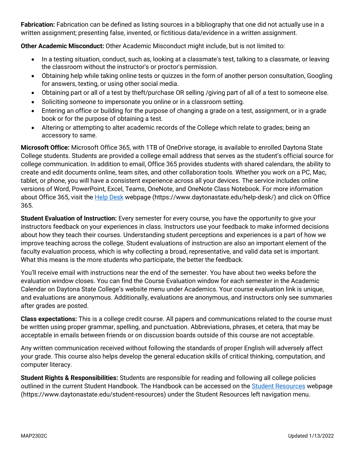**Fabrication:** Fabrication can be defined as listing sources in a bibliography that one did not actually use in a written assignment; presenting false, invented, or fictitious data/evidence in a written assignment.

**Other Academic Misconduct:** Other Academic Misconduct might include, but is not limited to:

- In a testing situation, conduct, such as, looking at a classmate's test, talking to a classmate, or leaving the classroom without the instructor's or proctor's permission.
- Obtaining help while taking online tests or quizzes in the form of another person consultation, Googling for answers, texting, or using other social media.
- Obtaining part or all of a test by theft/purchase OR selling /giving part of all of a test to someone else.
- Soliciting someone to impersonate you online or in a classroom setting.
- Entering an office or building for the purpose of changing a grade on a test, assignment, or in a grade book or for the purpose of obtaining a test.
- Altering or attempting to alter academic records of the College which relate to grades; being an accessory to same.

**Microsoft Office:** Microsoft Office 365, with 1TB of OneDrive storage, is available to enrolled Daytona State College students. Students are provided a college email address that serves as the student's official source for college communication. In addition to email, Office 365 provides students with shared calendars, the ability to create and edit documents online, team sites, and other collaboration tools. Whether you work on a PC, Mac, tablet, or phone, you will have a consistent experience across all your devices. The service includes online versions of Word, PowerPoint, Excel, Teams, OneNote, and OneNote Class Notebook. For more information about Office 365, visit the [Help Desk](https://www.daytonastate.edu/help-desk/) webpage (https://www.daytonastate.edu/help-desk/) and click on Office 365.

**Student Evaluation of Instruction:** Every semester for every course, you have the opportunity to give your instructors feedback on your experiences in class. Instructors use your feedback to make informed decisions about how they teach their courses. Understanding student perceptions and experiences is a part of how we improve teaching across the college. Student evaluations of instruction are also an important element of the faculty evaluation process, which is why collecting a broad, representative, and valid data set is important. What this means is the more students who participate, the better the feedback.

You'll receive email with instructions near the end of the semester. You have about two weeks before the evaluation window closes. You can find the Course Evaluation window for each semester in the Academic Calendar on Daytona State College's website menu under Academics. Your course evaluation link is unique, and evaluations are anonymous. Additionally, evaluations are anonymous, and instructors only see summaries after grades are posted.

**Class expectations:** This is a college credit course. All papers and communications related to the course must be written using proper grammar, spelling, and punctuation. Abbreviations, phrases, et cetera, that may be acceptable in emails between friends or on discussion boards outside of this course are not acceptable.

Any written communication received without following the standards of proper English will adversely affect your grade. This course also helps develop the general education skills of critical thinking, computation, and computer literacy.

**Student Rights & Responsibilities:** Students are responsible for reading and following all college policies outlined in the current Student Handbook. The Handbook can be accessed on the [Student Resources](https://www.daytonastate.edu/student-resources) webpage (https://www.daytonastate.edu/student-resources) under the Student Resources left navigation menu.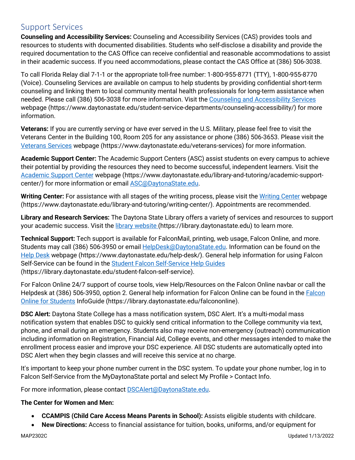### Support Services

**Counseling and Accessibility Services:** Counseling and Accessibility Services (CAS) provides tools and resources to students with documented disabilities. Students who self-disclose a disability and provide the required documentation to the CAS Office can receive confidential and reasonable accommodations to assist in their academic success. If you need accommodations, please contact the CAS Office at (386) 506-3038.

To call Florida Relay dial 7-1-1 or the appropriate toll-free number: 1-800-955-8771 (TTY), 1-800-955-8770 (Voice). Counseling Services are available on campus to help students by providing confidential short-term counseling and linking them to local community mental health professionals for long-term assistance when needed. Please call (386) 506-3038 for more information. Visit the [Counseling and Accessibility Services](https://www.daytonastate.edu/student-service-departments/counseling-accessibility/) webpage (https://www.daytonastate.edu/student-service-departments/counseling-accessibility/) for more information.

**Veterans:** If you are currently serving or have ever served in the U.S. Military, please feel free to visit the Veterans Center in the Building 100, Room 205 for any assistance or phone (386) 506-3653. Please visit the [Veterans Services](https://www.daytonastate.edu/veterans-services) webpage (https://www.daytonastate.edu/veterans-services) for more information.

**Academic Support Center:** The Academic Support Centers (ASC) assist students on every campus to achieve their potential by providing the resources they need to become successful, independent learners. Visit the [Academic Support Center](https://www.daytonastate.edu/library-and-tutoring/academic-support-center/index.html) webpage (https://www.daytonastate.edu/library-and-tutoring/academic-supportcenter/) for more information or email [ASC@DaytonaState.edu.](mailto:ASC@DaytonaState.edu)

**Writing Center:** For assistance with all stages of the writing process, please visit the [Writing Center](https://www.daytonastate.edu/library-and-tutoring/writing-center/) webpage (https://www.daytonastate.edu/library-and-tutoring/writing-center/). Appointments are recommended.

**Library and Research Services:** The Daytona State Library offers a variety of services and resources to support your academic success. Visit the *library website (https://library.daytonastate.edu)* to learn more.

**Technical Support:** Tech support is available for FalconMail, printing, web usage, Falcon Online, and more. Students may call (386) 506-3950 or email [HelpDesk@DaytonaState.edu.](mailto:HelpDesk@DaytonaState.edu) Information can be found on the [Help Desk](https://www.daytonastate.edu/help-desk/) webpage (https://www.daytonastate.edu/help-desk/). General help information for using Falcon Self-Service can be found in the [Student Falcon Self-Service Help Guides](https://library.daytonastate.edu/student-falcon-self-service) (https://library.daytonastate.edu/student-falcon-self-service).

For Falcon Online 24/7 support of course tools, view Help/Resources on the Falcon Online navbar or call the Helpdesk at (386) 506-3950, option 2. General help information for [Falcon](https://library.daytonastate.edu/falcononline) Online can be found in the Falcon [Online for Students](https://library.daytonastate.edu/falcononline) InfoGuide (https://library.daytonastate.edu/falcononline).

**DSC Alert:** Daytona State College has a mass notification system, DSC Alert. It's a multi-modal mass notification system that enables DSC to quickly send critical information to the College community via text, phone, and email during an emergency. Students also may receive non-emergency (outreach) communication including information on Registration, Financial Aid, College events, and other messages intended to make the enrollment process easier and improve your DSC experience. All DSC students are automatically opted into DSC Alert when they begin classes and will receive this service at no charge.

It's important to keep your phone number current in the DSC system. To update your phone number, log in to Falcon Self-Service from the MyDaytonaState portal and select My Profile > Contact Info.

For more information, please contact **DSCAlert**@DaytonaState.edu.

#### **The Center for Women and Men:**

- **CCAMPIS (Child Care Access Means Parents in School):** Assists eligible students with childcare.
- **New Directions:** Access to financial assistance for tuition, books, uniforms, and/or equipment for